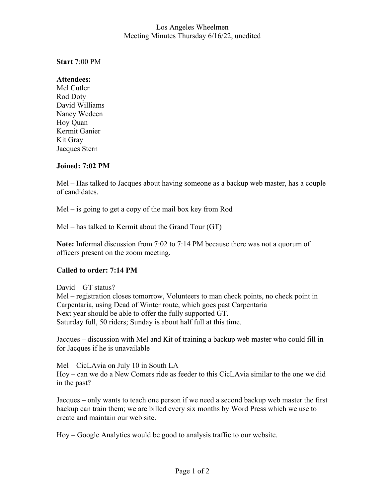## Los Angeles Wheelmen Meeting Minutes Thursday 6/16/22, unedited

**Start** 7:00 PM

## **Attendees:**

Mel Cutler Rod Doty David Williams Nancy Wedeen Hoy Quan Kermit Ganier Kit Gray Jacques Stern

# **Joined: 7:02 PM**

Mel – Has talked to Jacques about having someone as a backup web master, has a couple of candidates.

Mel – is going to get a copy of the mail box key from Rod

Mel – has talked to Kermit about the Grand Tour (GT)

**Note:** Informal discussion from 7:02 to 7:14 PM because there was not a quorum of officers present on the zoom meeting.

# **Called to order: 7:14 PM**

David – GT status? Mel – registration closes tomorrow, Volunteers to man check points, no check point in Carpentaria, using Dead of Winter route, which goes past Carpentaria Next year should be able to offer the fully supported GT. Saturday full, 50 riders; Sunday is about half full at this time.

Jacques – discussion with Mel and Kit of training a backup web master who could fill in for Jacques if he is unavailable

Mel – CicLAvia on July 10 in South LA Hoy – can we do a New Comers ride as feeder to this CicLAvia similar to the one we did in the past?

Jacques – only wants to teach one person if we need a second backup web master the first backup can train them; we are billed every six months by Word Press which we use to create and maintain our web site.

Hoy – Google Analytics would be good to analysis traffic to our website.